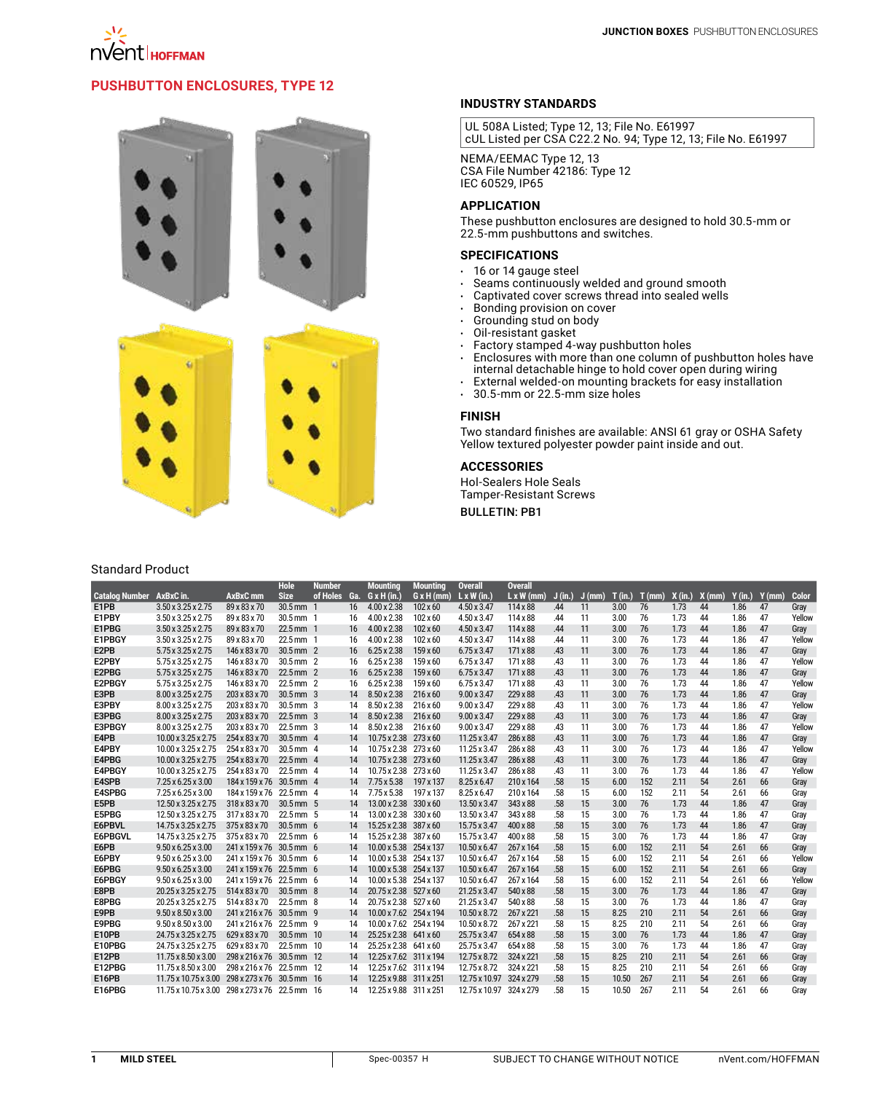# **PUSHBUTTON ENCLOSURES, TYPE 12**



## Standard Product

### **INDUSTRY STANDARDS**

UL 508A Listed; Type 12, 13; File No. E61997 cUL Listed per CSA C22.2 No. 94; Type 12, 13; File No. E61997

NEMA/EEMAC Type 12, 13 CSA File Number 42186: Type 12 IEC 60529, IP65

### **APPLICATION**

These pushbutton enclosures are designed to hold 30.5-mm or 22.5-mm pushbuttons and switches.

### **SPECIFICATIONS**

- $\cdot$  16 or 14 gauge steel
- Seams continuously welded and ground smooth
- $\cdot$  Captivated cover screws thread into sealed wells
- • Bonding provision on cover
- Grounding stud on body
- $\cdot$   $\,$  Oil-resistant gasket
- $\cdot$  Factory stamped 4-way pushbutton holes
- $\cdot$  Enclosures with more than one column of pushbutton holes have internal detachable hinge to hold cover open during wiring
- External welded-on mounting brackets for easy installation
- $\cdot$  30.5-mm or 22.5-mm size holes

## **FINISH**

Two standard finishes are available: ANSI 61 gray or OSHA Safety Yellow textured polyester powder paint inside and out.

#### **ACCESSORIES**

Hol-Sealers Hole Seals Tamper-Resistant Screws

## **BULLETIN: PB1**

| <b>Catalog Number</b> | AxBxC in.                                      | AxBxC mm                  | <b>Hole</b><br><b>Size</b> | <b>Number</b><br>of Holes | Ga. | <b>Mounting</b><br>$G \times H$ (in.) | <b>Mounting</b><br>$G \times H$ (mm) | <b>Overall</b><br>$L \times W$ (in.) | <b>Overall</b><br>$L \times W$ (mm) | J(in.) | $J$ (mm) | T(in.) | T(mm) | X (in.) | $X$ (mm) | $Y$ (in.) | $Y$ (mm) | Color  |
|-----------------------|------------------------------------------------|---------------------------|----------------------------|---------------------------|-----|---------------------------------------|--------------------------------------|--------------------------------------|-------------------------------------|--------|----------|--------|-------|---------|----------|-----------|----------|--------|
| E1PB                  | 3.50 x 3.25 x 2.75                             | 89 x 83 x 70              | $30.5$ mm $1$              |                           | 16  | $4.00 \times 2.38$                    | $102 \times 60$                      | 4.50 x 3.47                          | $114 \times 88$                     | .44    | 11       | 3.00   | 76    | 1.73    | 44       | 1.86      | 47       | Gray   |
| E1PBY                 | $3.50 \times 3.25 \times 2.75$                 | 89 x 83 x 70              | 30.5 mm 1                  |                           | 16  | $4.00 \times 2.38$                    | $102 \times 60$                      | 4.50 x 3.47                          | 114 x 88                            | .44    | 11       | 3.00   | 76    | 1.73    | 44       | 1.86      | 47       | Yellow |
| E1PBG                 | $3.50 \times 3.25 \times 2.75$                 | 89 x 83 x 70              | 22.5 mm 1                  |                           | 16  | $4.00 \times 2.38$                    | $102 \times 60$                      | 4.50 x 3.47                          | $114 \times 88$                     | .44    | 11       | 3.00   | 76    | 1.73    | 44       | 1.86      | 47       | Gray   |
| E1PBGY                | $3.50 \times 3.25 \times 2.75$                 | 89 x 83 x 70              | 22.5 mm 1                  |                           | 16  | $4.00 \times 2.38$                    | 102 x 60                             | 4.50 x 3.47                          | 114 x 88                            | .44    | 11       | 3.00   | 76    | 1.73    | 44       | 1.86      | 47       | Yellow |
| E2PB                  | $5.75 \times 3.25 \times 2.75$                 | 146 x 83 x 70             | 30.5 mm 2                  |                           | 16  | $6.25 \times 2.38$                    | 159 x 60                             | $6.75 \times 3.47$                   | 171 x 88                            | .43    | 11       | 3.00   | 76    | 1.73    | 44       | 1.86      | 47       | Gray   |
| E2PBY                 | 5.75 x 3.25 x 2.75                             | 146 x 83 x 70             | 30.5 mm 2                  |                           | 16  | $6.25 \times 2.38$                    | 159 x 60                             | $6.75 \times 3.47$                   | 171 x 88                            | .43    | 11       | 3.00   | 76    | 1.73    | 44       | 1.86      | 47       | Yellow |
| E2PBG                 | $5.75 \times 3.25 \times 2.75$                 | 146 x 83 x 70             | 22.5 mm 2                  |                           | 16  | $6.25 \times 2.38$                    | 159 x 60                             | $6.75 \times 3.47$                   | 171 x 88                            | .43    | 11       | 3.00   | 76    | 1.73    | 44       | 1.86      | 47       | Gray   |
| E2PBGY                | $5.75 \times 3.25 \times 2.75$                 | 146 x 83 x 70             | 22.5 mm 2                  |                           | 16  | $6.25 \times 2.38$                    | 159 x 60                             | $6.75 \times 3.47$                   | 171 x 88                            | .43    | 11       | 3.00   | 76    | 1.73    | 44       | 1.86      | 47       | Yellow |
| E3PB                  | 8.00 x 3.25 x 2.75                             | 203 x 83 x 70             | $30.5 \, \text{mm}$ 3      |                           | 14  | 8.50 x 2.38                           | $216\times 60$                       | $9.00 \times 3.47$                   | 229 x 88                            | .43    | 11       | 3.00   | 76    | 1.73    | 44       | 1.86      | 47       | Gray   |
| E3PBY                 | 8.00 x 3.25 x 2.75                             | 203 x 83 x 70             | $30.5$ mm $3$              |                           | 14  | 8.50 x 2.38                           | 216 x 60                             | $9.00 \times 3.47$                   | 229 x 88                            | .43    | 11       | 3.00   | 76    | 1.73    | 44       | 1.86      | 47       | Yellow |
| E3PBG                 | 8.00 x 3.25 x 2.75                             | 203 x 83 x 70             | $22.5$ mm $3$              |                           | 14  | 8.50 x 2.38                           | $216 \times 60$                      | $9.00 \times 3.47$                   | 229 x 88                            | .43    | 11       | 3.00   | 76    | 1.73    | 44       | 1.86      | 47       | Gray   |
| E3PBGY                | 8.00 x 3.25 x 2.75                             | 203 x 83 x 70             | $22.5$ mm $3$              |                           | 14  | $8.50 \times 2.38$                    | 216 x 60                             | $9.00 \times 3.47$                   | 229 x 88                            | .43    | 11       | 3.00   | 76    | 1.73    | 44       | 1.86      | 47       | Yellow |
| E4PB                  | 10.00 x 3.25 x 2.75                            | 254 x 83 x 70             | $30.5$ mm $4$              |                           | 14  | 10.75 x 2.38 273 x 60                 |                                      | $11.25 \times 3.47$                  | 286 x 88                            | .43    | 11       | 3.00   | 76    | 1.73    | 44       | 1.86      | 47       | Gray   |
| E4PBY                 | 10.00 x 3.25 x 2.75                            | 254 x 83 x 70             | $30.5 \, \text{mm}$ 4      |                           | 14  | 10.75 x 2.38 273 x 60                 |                                      | 11.25 x 3.47                         | 286 x 88                            | .43    | 11       | 3.00   | 76    | 1.73    | 44       | 1.86      | 47       | Yellow |
| E4PBG                 | 10.00 x 3.25 x 2.75                            | 254 x 83 x 70             | $22.5$ mm $4$              |                           | 14  | 10.75 x 2.38 273 x 60                 |                                      | 11.25 x 3.47                         | 286 x 88                            | .43    | 11       | 3.00   | 76    | 1.73    | 44       | 1.86      | 47       | Gray   |
| E4PBGY                | 10.00 x 3.25 x 2.75                            | 254 x 83 x 70             | 22.5 mm 4                  |                           | 14  | 10.75 x 2.38 273 x 60                 |                                      | 11.25 x 3.47                         | 286 x 88                            | .43    | 11       | 3.00   | 76    | 1.73    | 44       | 1.86      | 47       | Yellow |
| E4SPB                 | 7.25 x 6.25 x 3.00                             | 184 x 159 x 76 30.5 mm 4  |                            |                           | 14  | $7.75 \times 5.38$                    | 197 x 137                            | $8.25 \times 6.47$                   | 210 x 164                           | .58    | 15       | 6.00   | 152   | 2.11    | 54       | 2.61      | 66       | Gray   |
| E4SPBG                | 7.25 x 6.25 x 3.00                             | 184 x 159 x 76 22.5 mm 4  |                            |                           | 14  | $7.75 \times 5.38$                    | 197 x 137                            | $8.25 \times 6.47$                   | 210 x 164                           | .58    | 15       | 6.00   | 152   | 2.11    | 54       | 2.61      | 66       | Grav   |
| E5PB                  | 12.50 x 3.25 x 2.75                            | 318 x 83 x 70             | 30.5 mm 5                  |                           | 14  | 13.00 x 2.38 330 x 60                 |                                      | 13.50 x 3.47                         | 343 x 88                            | .58    | 15       | 3.00   | 76    | 1.73    | 44       | 1.86      | 47       | Gray   |
| E5PBG                 | 12.50 x 3.25 x 2.75                            | 317 x 83 x 70             | 22.5 mm 5                  |                           | 14  | 13.00 x 2.38                          | 330 x 60                             | 13.50 x 3.47                         | 343 x 88                            | .58    | 15       | 3.00   | 76    | 1.73    | 44       | 1.86      | 47       | Gray   |
| E6PBVL                | 14.75 x 3.25 x 2.75                            | 375 x 83 x 70             | $30.5 \, \text{mm}$ 6      |                           | 14  | 15.25 x 2.38 387 x 60                 |                                      | 15.75 x 3.47                         | 400 x 88                            | .58    | 15       | 3.00   | 76    | 1.73    | 44       | 1.86      | 47       | Gray   |
| E6PBGVL               | 14.75 x 3.25 x 2.75                            | 375 x 83 x 70             | $22.5$ mm $6$              |                           | 14  | 15.25 x 2.38 387 x 60                 |                                      | 15.75 x 3.47                         | 400 x 88                            | .58    | 15       | 3.00   | 76    | 1.73    | 44       | 1.86      | 47       | Gray   |
| E6PB                  | $9.50 \times 6.25 \times 3.00$                 | 241 x 159 x 76 30.5 mm 6  |                            |                           | 14  | 10.00 x 5.38 254 x 137                |                                      | 10.50 x 6.47                         | 267 x 164                           | .58    | 15       | 6.00   | 152   | 2.11    | 54       | 2.61      | 66       | Gray   |
| E6PBY                 | $9.50 \times 6.25 \times 3.00$                 | 241 x 159 x 76 30.5 mm 6  |                            |                           | 14  | 10.00 x 5.38 254 x 137                |                                      | 10.50 x 6.47                         | 267 x 164                           | .58    | 15       | 6.00   | 152   | 2.11    | 54       | 2.61      | 66       | Yellow |
| E6PBG                 | $9.50 \times 6.25 \times 3.00$                 | 241 x 159 x 76 22.5 mm 6  |                            |                           | 14  | 10.00 x 5.38 254 x 137                |                                      | $10.50 \times 6.47$                  | 267 x 164                           | .58    | 15       | 6.00   | 152   | 2.11    | 54       | 2.61      | 66       | Gray   |
| E6PBGY                | $9.50 \times 6.25 \times 3.00$                 | 241 x 159 x 76 22.5 mm 6  |                            |                           | 14  | 10.00 x 5.38 254 x 137                |                                      | 10.50 x 6.47                         | 267 x 164                           | .58    | 15       | 6.00   | 152   | 2.11    | 54       | 2.61      | 66       | Yellow |
| E8PB                  | 20.25 x 3.25 x 2.75                            | 514 x 83 x 70             | $30.5 \, \text{mm}$ 8      |                           | 14  | 20.75 x 2.38 527 x 60                 |                                      | 21.25 x 3.47                         | 540 x 88                            | .58    | 15       | 3.00   | 76    | 1.73    | 44       | 1.86      | 47       | Gray   |
| E8PBG                 | 20.25 x 3.25 x 2.75                            | 514 x 83 x 70             | $22.5 \, \text{mm}$ 8      |                           | 14  | 20.75 x 2.38 527 x 60                 |                                      | 21.25 x 3.47                         | 540 x 88                            | .58    | 15       | 3.00   | 76    | 1.73    | 44       | 1.86      | 47       | Gray   |
| E9PB                  | $9.50 \times 8.50 \times 3.00$                 | 241 x 216 x 76 30.5 mm 9  |                            |                           | 14  | 10.00 x 7.62 254 x 194                |                                      | 10.50 x 8.72                         | 267 x 221                           | .58    | 15       | 8.25   | 210   | 2.11    | 54       | 2.61      | 66       | Gray   |
| E9PBG                 | $9.50 \times 8.50 \times 3.00$                 | 241 x 216 x 76 22.5 mm 9  |                            |                           | 14  | 10.00 x 7.62 254 x 194                |                                      | 10.50 x 8.72                         | 267 x 221                           | .58    | 15       | 8.25   | 210   | 2.11    | 54       | 2.61      | 66       | Gray   |
| E10PB                 | 24.75 x 3.25 x 2.75                            | 629 x 83 x 70             | 30.5 mm 10                 |                           | 14  | 25.25 x 2.38 641 x 60                 |                                      | 25.75 x 3.47                         | 654 x 88                            | .58    | 15       | 3.00   | 76    | 1.73    | 44       | 1.86      | 47       | Gray   |
| E10PBG                | 24.75 x 3.25 x 2.75                            | 629 x 83 x 70             | 22.5 mm 10                 |                           | 14  | 25.25 x 2.38 641 x 60                 |                                      | 25.75 x 3.47                         | 654 x 88                            | .58    | 15       | 3.00   | 76    | 1.73    | 44       | 1.86      | 47       | Gray   |
| E12PB                 | 11.75 x 8.50 x 3.00                            | 298 x 216 x 76 30.5 mm 12 |                            |                           | 14  | 12.25 x 7.62 311 x 194                |                                      | 12.75 x 8.72                         | 324 x 221                           | .58    | 15       | 8.25   | 210   | 2.11    | 54       | 2.61      | 66       | Gray   |
| E12PBG                | 11.75 x 8.50 x 3.00                            | 298 x 216 x 76 22.5 mm 12 |                            |                           | 14  | 12.25 x 7.62 311 x 194                |                                      | 12.75 x 8.72                         | 324 x 221                           | .58    | 15       | 8.25   | 210   | 2.11    | 54       | 2.61      | 66       | Gray   |
| E16PB                 | $11.75 \times 10.75 \times 3.00$               | 298 x 273 x 76 30.5 mm 16 |                            |                           | 14  | 12.25 x 9.88 311 x 251                |                                      | 12.75 x 10.97                        | 324 x 279                           | .58    | 15       | 10.50  | 267   | 2.11    | 54       | 2.61      | 66       | Gray   |
| E16PBG                | 11.75 x 10.75 x 3.00 298 x 273 x 76 22.5 mm 16 |                           |                            |                           | 14  | 12.25 x 9.88 311 x 251                |                                      | 12.75 x 10.97                        | 324 x 279                           | .58    | 15       | 10.50  | 267   | 2.11    | 54       | 2.61      | 66       | Grav   |